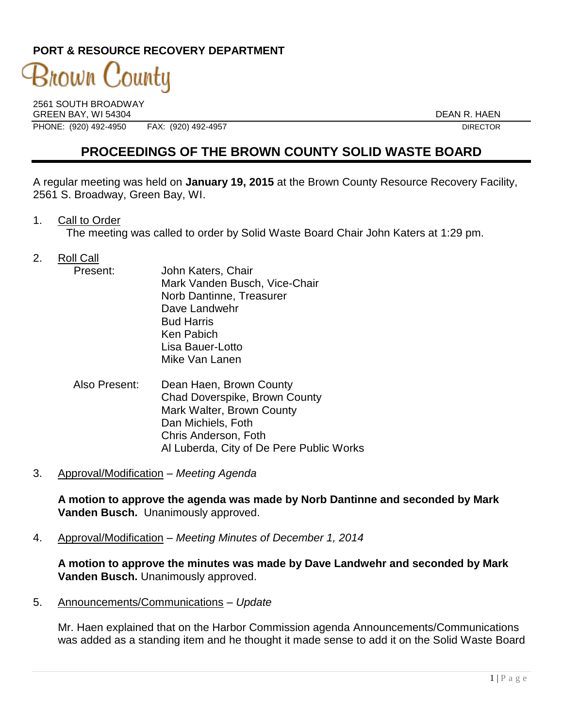### **PORT & RESOURCE RECOVERY DEPARTMENT**

# 3nown County

2561 SOUTH BROADWAY GREEN BAY, WI 54304 DEAN R. HAEN PHONE: (920) 492-4950 FAX: (920) 492-4957 FAX: (920) 492-4957

## **PROCEEDINGS OF THE BROWN COUNTY SOLID WASTE BOARD**

A regular meeting was held on **January 19, 2015** at the Brown County Resource Recovery Facility, 2561 S. Broadway, Green Bay, WI.

1. Call to Order

The meeting was called to order by Solid Waste Board Chair John Katers at 1:29 pm.

- 2. Roll Call
	- Present: John Katers, Chair Mark Vanden Busch, Vice-Chair Norb Dantinne, Treasurer Dave Landwehr Bud Harris Ken Pabich Lisa Bauer-Lotto Mike Van Lanen
	- Also Present: Dean Haen, Brown County Chad Doverspike, Brown County Mark Walter, Brown County Dan Michiels, Foth Chris Anderson, Foth Al Luberda, City of De Pere Public Works
- 3. Approval/Modification *Meeting Agenda*

**A motion to approve the agenda was made by Norb Dantinne and seconded by Mark Vanden Busch.** Unanimously approved.

4. Approval/Modification – *Meeting Minutes of December 1, 2014*

**A motion to approve the minutes was made by Dave Landwehr and seconded by Mark Vanden Busch.** Unanimously approved.

5. Announcements/Communications *– Update*

Mr. Haen explained that on the Harbor Commission agenda Announcements/Communications was added as a standing item and he thought it made sense to add it on the Solid Waste Board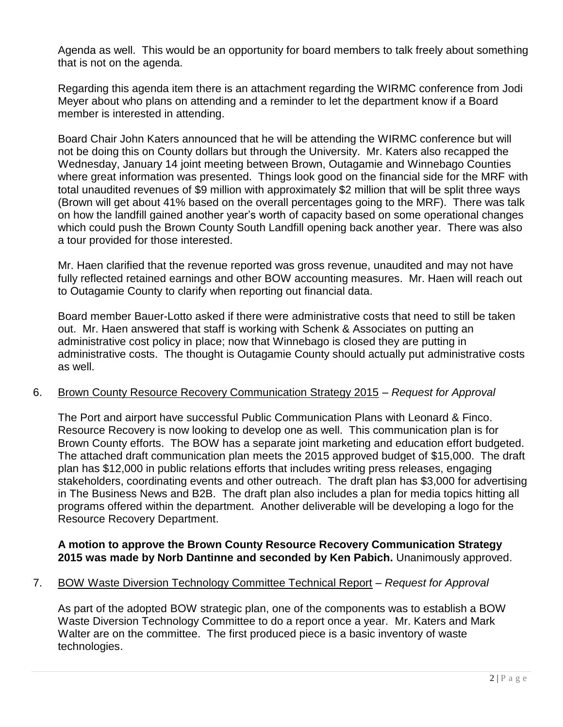Agenda as well. This would be an opportunity for board members to talk freely about something that is not on the agenda.

Regarding this agenda item there is an attachment regarding the WIRMC conference from Jodi Meyer about who plans on attending and a reminder to let the department know if a Board member is interested in attending.

Board Chair John Katers announced that he will be attending the WIRMC conference but will not be doing this on County dollars but through the University. Mr. Katers also recapped the Wednesday, January 14 joint meeting between Brown, Outagamie and Winnebago Counties where great information was presented. Things look good on the financial side for the MRF with total unaudited revenues of \$9 million with approximately \$2 million that will be split three ways (Brown will get about 41% based on the overall percentages going to the MRF). There was talk on how the landfill gained another year's worth of capacity based on some operational changes which could push the Brown County South Landfill opening back another year. There was also a tour provided for those interested.

Mr. Haen clarified that the revenue reported was gross revenue, unaudited and may not have fully reflected retained earnings and other BOW accounting measures. Mr. Haen will reach out to Outagamie County to clarify when reporting out financial data.

Board member Bauer-Lotto asked if there were administrative costs that need to still be taken out. Mr. Haen answered that staff is working with Schenk & Associates on putting an administrative cost policy in place; now that Winnebago is closed they are putting in administrative costs. The thought is Outagamie County should actually put administrative costs as well.

#### 6. Brown County Resource Recovery Communication Strategy 2015 – *Request for Approval*

The Port and airport have successful Public Communication Plans with Leonard & Finco. Resource Recovery is now looking to develop one as well. This communication plan is for Brown County efforts. The BOW has a separate joint marketing and education effort budgeted. The attached draft communication plan meets the 2015 approved budget of \$15,000. The draft plan has \$12,000 in public relations efforts that includes writing press releases, engaging stakeholders, coordinating events and other outreach. The draft plan has \$3,000 for advertising in The Business News and B2B. The draft plan also includes a plan for media topics hitting all programs offered within the department. Another deliverable will be developing a logo for the Resource Recovery Department.

#### **A motion to approve the Brown County Resource Recovery Communication Strategy 2015 was made by Norb Dantinne and seconded by Ken Pabich.** Unanimously approved.

#### 7. BOW Waste Diversion Technology Committee Technical Report *– Request for Approval*

As part of the adopted BOW strategic plan, one of the components was to establish a BOW Waste Diversion Technology Committee to do a report once a year. Mr. Katers and Mark Walter are on the committee. The first produced piece is a basic inventory of waste technologies.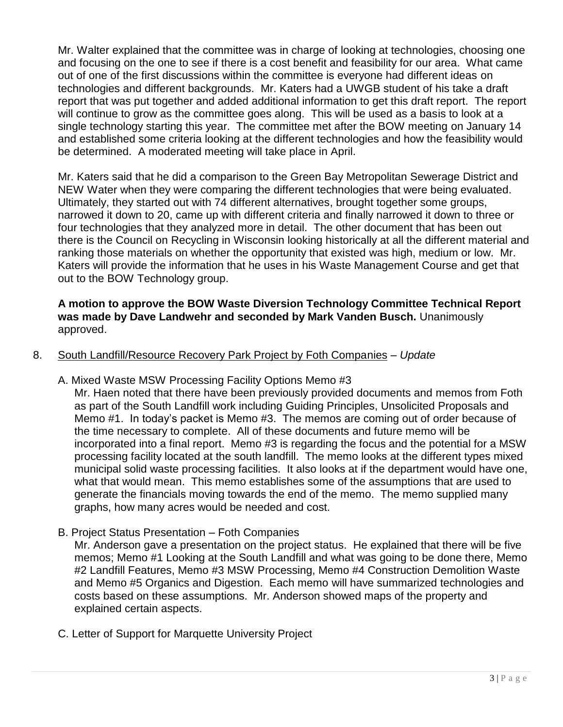Mr. Walter explained that the committee was in charge of looking at technologies, choosing one and focusing on the one to see if there is a cost benefit and feasibility for our area. What came out of one of the first discussions within the committee is everyone had different ideas on technologies and different backgrounds. Mr. Katers had a UWGB student of his take a draft report that was put together and added additional information to get this draft report. The report will continue to grow as the committee goes along. This will be used as a basis to look at a single technology starting this year. The committee met after the BOW meeting on January 14 and established some criteria looking at the different technologies and how the feasibility would be determined. A moderated meeting will take place in April.

Mr. Katers said that he did a comparison to the Green Bay Metropolitan Sewerage District and NEW Water when they were comparing the different technologies that were being evaluated. Ultimately, they started out with 74 different alternatives, brought together some groups, narrowed it down to 20, came up with different criteria and finally narrowed it down to three or four technologies that they analyzed more in detail. The other document that has been out there is the Council on Recycling in Wisconsin looking historically at all the different material and ranking those materials on whether the opportunity that existed was high, medium or low. Mr. Katers will provide the information that he uses in his Waste Management Course and get that out to the BOW Technology group.

**A motion to approve the BOW Waste Diversion Technology Committee Technical Report was made by Dave Landwehr and seconded by Mark Vanden Busch.** Unanimously approved.

#### 8. South Landfill/Resource Recovery Park Project by Foth Companies – *Update*

A. Mixed Waste MSW Processing Facility Options Memo #3

Mr. Haen noted that there have been previously provided documents and memos from Foth as part of the South Landfill work including Guiding Principles, Unsolicited Proposals and Memo #1. In today's packet is Memo #3. The memos are coming out of order because of the time necessary to complete. All of these documents and future memo will be incorporated into a final report. Memo #3 is regarding the focus and the potential for a MSW processing facility located at the south landfill. The memo looks at the different types mixed municipal solid waste processing facilities. It also looks at if the department would have one, what that would mean. This memo establishes some of the assumptions that are used to generate the financials moving towards the end of the memo. The memo supplied many graphs, how many acres would be needed and cost.

B. Project Status Presentation – Foth Companies

Mr. Anderson gave a presentation on the project status. He explained that there will be five memos; Memo #1 Looking at the South Landfill and what was going to be done there, Memo #2 Landfill Features, Memo #3 MSW Processing, Memo #4 Construction Demolition Waste and Memo #5 Organics and Digestion. Each memo will have summarized technologies and costs based on these assumptions. Mr. Anderson showed maps of the property and explained certain aspects.

C. Letter of Support for Marquette University Project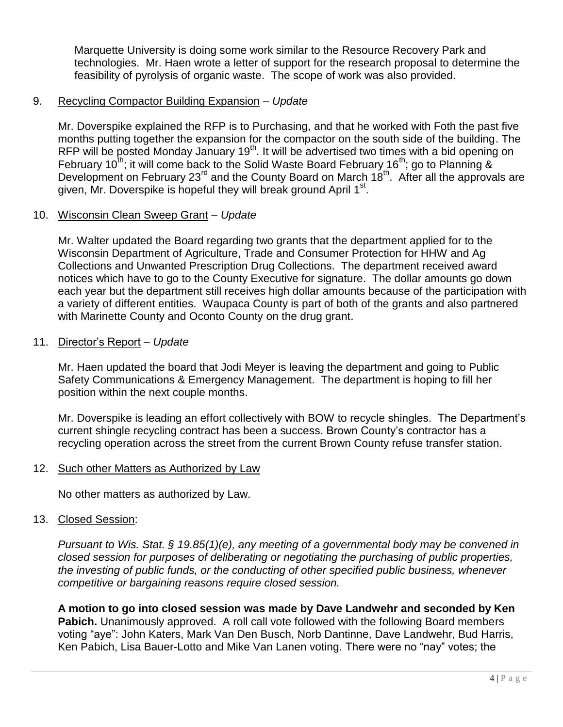Marquette University is doing some work similar to the Resource Recovery Park and technologies. Mr. Haen wrote a letter of support for the research proposal to determine the feasibility of pyrolysis of organic waste. The scope of work was also provided.

#### 9. Recycling Compactor Building Expansion – *Update*

Mr. Doverspike explained the RFP is to Purchasing, and that he worked with Foth the past five months putting together the expansion for the compactor on the south side of the building. The RFP will be posted Monday January 19<sup>th</sup>. It will be advertised two times with a bid opening on February 10<sup>th</sup>; it will come back to the Solid Waste Board February 16<sup>th</sup>; go to Planning & Development on February 23<sup>rd</sup> and the County Board on March 18<sup>th</sup>. After all the approvals are given, Mr. Doverspike is hopeful they will break ground April 1st.

#### 10. Wisconsin Clean Sweep Grant – *Update*

Mr. Walter updated the Board regarding two grants that the department applied for to the Wisconsin Department of Agriculture, Trade and Consumer Protection for HHW and Ag Collections and Unwanted Prescription Drug Collections. The department received award notices which have to go to the County Executive for signature. The dollar amounts go down each year but the department still receives high dollar amounts because of the participation with a variety of different entities. Waupaca County is part of both of the grants and also partnered with Marinette County and Oconto County on the drug grant.

#### 11. Director's Report – *Update*

Mr. Haen updated the board that Jodi Meyer is leaving the department and going to Public Safety Communications & Emergency Management. The department is hoping to fill her position within the next couple months.

Mr. Doverspike is leading an effort collectively with BOW to recycle shingles. The Department's current shingle recycling contract has been a success. Brown County's contractor has a recycling operation across the street from the current Brown County refuse transfer station.

#### 12. Such other Matters as Authorized by Law

No other matters as authorized by Law.

#### 13. Closed Session:

*Pursuant to Wis. Stat. § 19.85(1)(e), any meeting of a governmental body may be convened in closed session for purposes of deliberating or negotiating the purchasing of public properties, the investing of public funds, or the conducting of other specified public business, whenever competitive or bargaining reasons require closed session.*

**A motion to go into closed session was made by Dave Landwehr and seconded by Ken Pabich.** Unanimously approved. A roll call vote followed with the following Board members voting "aye": John Katers, Mark Van Den Busch, Norb Dantinne, Dave Landwehr, Bud Harris, Ken Pabich, Lisa Bauer-Lotto and Mike Van Lanen voting. There were no "nay" votes; the